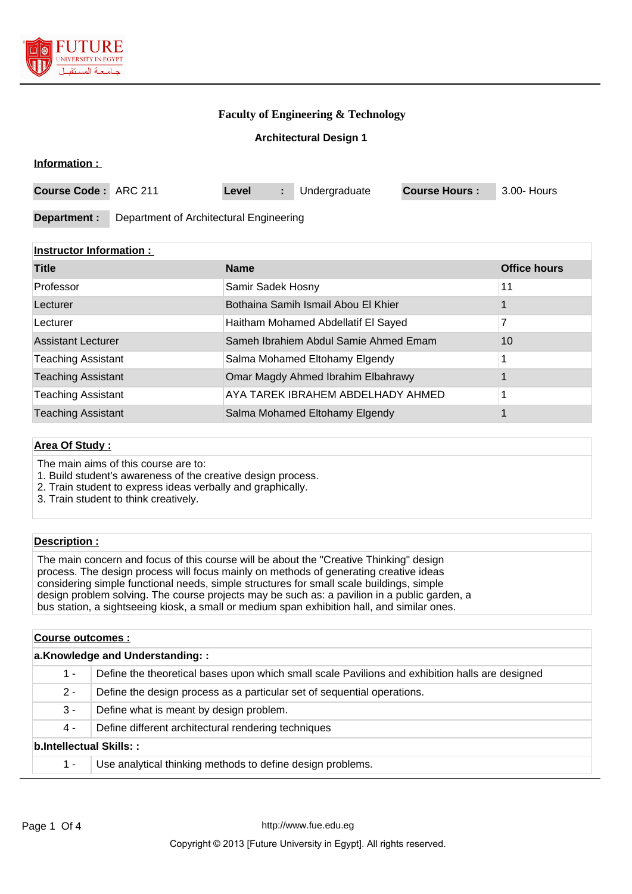

## **Faculty of Engineering & Technology**

### **Architectural Design 1**

| Information :        |                                         |       |  |               |                      |             |
|----------------------|-----------------------------------------|-------|--|---------------|----------------------|-------------|
| Course Code: ARC 211 |                                         | Level |  | Undergraduate | <b>Course Hours:</b> | 3.00- Hours |
| Department :         | Department of Architectural Engineering |       |  |               |                      |             |

### **Instructor Information :**

| <b>Title</b>              | <b>Name</b>                           | <b>Office hours</b> |
|---------------------------|---------------------------------------|---------------------|
| Professor                 | Samir Sadek Hosny                     | 11                  |
| Lecturer                  | Bothaina Samih Ismail Abou El Khier   |                     |
| Lecturer                  | Haitham Mohamed Abdellatif El Sayed   |                     |
| <b>Assistant Lecturer</b> | Sameh Ibrahiem Abdul Samie Ahmed Emam | 10                  |
| <b>Teaching Assistant</b> | Salma Mohamed Eltohamy Elgendy        |                     |
| <b>Teaching Assistant</b> | Omar Magdy Ahmed Ibrahim Elbahrawy    |                     |
| <b>Teaching Assistant</b> | AYA TAREK IBRAHEM ABDELHADY AHMED     |                     |
| <b>Teaching Assistant</b> | Salma Mohamed Eltohamy Elgendy        |                     |

#### **Area Of Study :**

The main aims of this course are to:

- 1. Build student's awareness of the creative design process.
- 2. Train student to express ideas verbally and graphically.
- 3. Train student to think creatively.

#### **Description :**

The main concern and focus of this course will be about the "Creative Thinking" design process. The design process will focus mainly on methods of generating creative ideas considering simple functional needs, simple structures for small scale buildings, simple design problem solving. The course projects may be such as: a pavilion in a public garden, a bus station, a sightseeing kiosk, a small or medium span exhibition hall, and similar ones.

| Course outcomes:                |                                                                                                 |  |  |  |
|---------------------------------|-------------------------------------------------------------------------------------------------|--|--|--|
| a.Knowledge and Understanding:: |                                                                                                 |  |  |  |
| 1 -                             | Define the theoretical bases upon which small scale Pavilions and exhibition halls are designed |  |  |  |
| $2 -$                           | Define the design process as a particular set of sequential operations.                         |  |  |  |
| $3 -$                           | Define what is meant by design problem.                                                         |  |  |  |
| 4 -                             | Define different architectural rendering techniques                                             |  |  |  |
| <b>b.Intellectual Skills::</b>  |                                                                                                 |  |  |  |
| 1 -                             | Use analytical thinking methods to define design problems.                                      |  |  |  |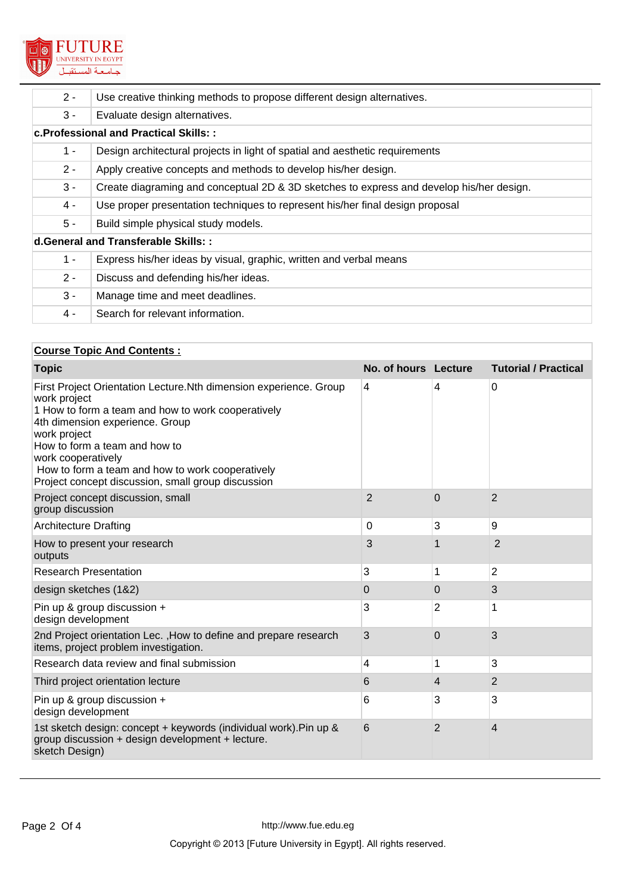

| $2 -$                                | Use creative thinking methods to propose different design alternatives.                  |  |  |  |  |
|--------------------------------------|------------------------------------------------------------------------------------------|--|--|--|--|
| $3 -$                                | Evaluate design alternatives.                                                            |  |  |  |  |
|                                      | c. Professional and Practical Skills: :                                                  |  |  |  |  |
| $1 -$                                | Design architectural projects in light of spatial and aesthetic requirements             |  |  |  |  |
| $2 -$                                | Apply creative concepts and methods to develop his/her design.                           |  |  |  |  |
| $3 -$                                | Create diagraming and conceptual 2D & 3D sketches to express and develop his/her design. |  |  |  |  |
| 4 -                                  | Use proper presentation techniques to represent his/her final design proposal            |  |  |  |  |
| $5 -$                                | Build simple physical study models.                                                      |  |  |  |  |
| d. General and Transferable Skills:: |                                                                                          |  |  |  |  |
| $1 -$                                | Express his/her ideas by visual, graphic, written and verbal means                       |  |  |  |  |
| $2 -$                                | Discuss and defending his/her ideas.                                                     |  |  |  |  |
| $3 -$                                | Manage time and meet deadlines.                                                          |  |  |  |  |
| 4 -                                  | Search for relevant information.                                                         |  |  |  |  |

## **Course Topic And Contents :**

| <b>Topic</b>                                                                                                                                                                                                                                                                                                                                                 | No. of hours Lecture |                | <b>Tutorial / Practical</b> |
|--------------------------------------------------------------------------------------------------------------------------------------------------------------------------------------------------------------------------------------------------------------------------------------------------------------------------------------------------------------|----------------------|----------------|-----------------------------|
| First Project Orientation Lecture. Nth dimension experience. Group<br>work project<br>1 How to form a team and how to work cooperatively<br>4th dimension experience. Group<br>work project<br>How to form a team and how to<br>work cooperatively<br>How to form a team and how to work cooperatively<br>Project concept discussion, small group discussion | 4                    | 4              | 0                           |
| Project concept discussion, small<br>group discussion                                                                                                                                                                                                                                                                                                        | $\overline{2}$       | $\Omega$       | 2                           |
| <b>Architecture Drafting</b>                                                                                                                                                                                                                                                                                                                                 | $\mathbf 0$          | 3              | 9                           |
| How to present your research<br>outputs                                                                                                                                                                                                                                                                                                                      | 3                    |                | $\overline{2}$              |
| <b>Research Presentation</b>                                                                                                                                                                                                                                                                                                                                 | 3                    | 1              | $\overline{2}$              |
| design sketches (1&2)                                                                                                                                                                                                                                                                                                                                        | 0                    | 0              | 3                           |
| Pin up & group discussion +<br>design development                                                                                                                                                                                                                                                                                                            | 3                    | $\overline{2}$ | 1                           |
| 2nd Project orientation Lec., How to define and prepare research<br>items, project problem investigation.                                                                                                                                                                                                                                                    | 3                    | $\Omega$       | 3                           |
| Research data review and final submission                                                                                                                                                                                                                                                                                                                    | 4                    | 1              | 3                           |
| Third project orientation lecture                                                                                                                                                                                                                                                                                                                            | 6                    | $\overline{4}$ | $\overline{2}$              |
| Pin up & group discussion +<br>design development                                                                                                                                                                                                                                                                                                            | 6                    | 3              | 3                           |
| 1st sketch design: concept + keywords (individual work). Pin up &<br>group discussion + design development + lecture.<br>sketch Design)                                                                                                                                                                                                                      | 6                    | 2              | 4                           |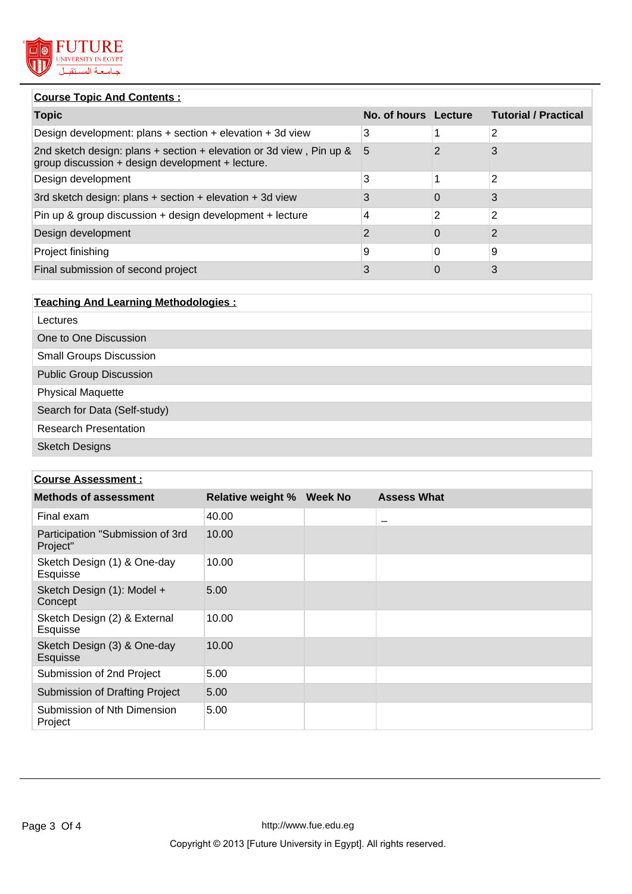

## **Course Topic And Contents :**

| <b>Topic</b>                                                                                                            | No. of hours Lecture |          | <b>Tutorial / Practical</b> |
|-------------------------------------------------------------------------------------------------------------------------|----------------------|----------|-----------------------------|
| Design development: plans $+$ section $+$ elevation $+$ 3d view                                                         | 3                    |          | 2                           |
| 2nd sketch design: plans + section + elevation or 3d view, Pin up &<br>group discussion + design development + lecture. | 5                    |          | 3                           |
| Design development                                                                                                      | 3                    |          | 2                           |
| 3rd sketch design: plans + section + elevation + 3d view                                                                |                      | 0        | 3                           |
| Pin up & group discussion + design development + lecture                                                                | 4                    | 2        | 2                           |
| Design development                                                                                                      | 2                    | $\Omega$ | 2                           |
| Project finishing                                                                                                       | 9                    | 0        | 9                           |
| Final submission of second project                                                                                      | 3                    | 0        | 3                           |

| <b>Teaching And Learning Methodologies:</b> |
|---------------------------------------------|
| Lectures                                    |
| One to One Discussion                       |
| <b>Small Groups Discussion</b>              |
| <b>Public Group Discussion</b>              |
| <b>Physical Maquette</b>                    |
| Search for Data (Self-study)                |
| <b>Research Presentation</b>                |
| <b>Sketch Designs</b>                       |

# **Course Assessment :**

| <b>Methods of assessment</b>                 | <b>Relative weight %</b> | Week No | <b>Assess What</b>       |
|----------------------------------------------|--------------------------|---------|--------------------------|
| Final exam                                   | 40.00                    |         | $\overline{\phantom{a}}$ |
| Participation "Submission of 3rd<br>Project" | 10.00                    |         |                          |
| Sketch Design (1) & One-day<br>Esquisse      | 10.00                    |         |                          |
| Sketch Design (1): Model +<br>Concept        | 5.00                     |         |                          |
| Sketch Design (2) & External<br>Esquisse     | 10.00                    |         |                          |
| Sketch Design (3) & One-day<br>Esquisse      | 10.00                    |         |                          |
| Submission of 2nd Project                    | 5.00                     |         |                          |
| Submission of Drafting Project               | 5.00                     |         |                          |
| Submission of Nth Dimension<br>Project       | 5.00                     |         |                          |